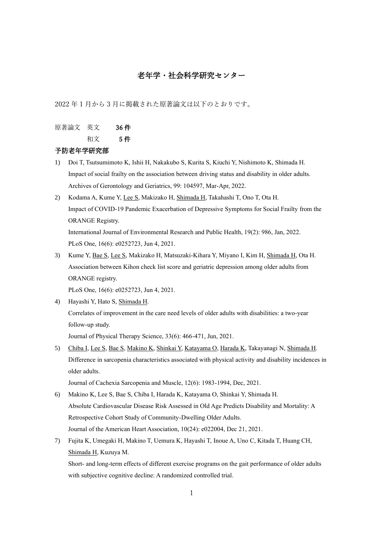# 老年学・社会科学研究センター

2022 年 1 月から 3 月に掲載された原著論文は以下のとおりです。

原著論文 英文 36 件

和文 5 件

#### 予防老年学研究部

- 1) Doi T, Tsutsumimoto K, Ishii H, Nakakubo S, Kurita S, Kiuchi Y, Nishimoto K, Shimada H. Impact of social frailty on the association between driving status and disability in older adults. Archives of Gerontology and Geriatrics, 99: 104597, Mar-Apr, 2022.
- 2) Kodama A, Kume Y, Lee S, Makizako H, Shimada H, Takahashi T, Ono T, Ota H. Impact of COVID-19 Pandemic Exacerbation of Depressive Symptoms for Social Frailty from the ORANGE Registry.

International Journal of Environmental Research and Public Health, 19(2): 986, Jan, 2022. PLoS One, 16(6): e0252723, Jun 4, 2021.

3) Kume Y, Bae S, Lee S, Makizako H, Matsuzaki-Kihara Y, Miyano I, Kim H, Shimada H, Ota H. Association between Kihon check list score and geriatric depression among older adults from ORANGE registry.

PLoS One, 16(6): e0252723, Jun 4, 2021.

- 4) Hayashi Y, Hato S, Shimada H. Correlates of improvement in the care need levels of older adults with disabilities: a two-year follow-up study. Journal of Physical Therapy Science, 33(6): 466-471, Jun, 2021.
- 5) Chiba I, Lee S, Bae S, Makino K, Shinkai Y, Katayama O, Harada K, Takayanagi N, Shimada H. Difference in sarcopenia characteristics associated with physical activity and disability incidences in older adults.

Journal of Cachexia Sarcopenia and Muscle, 12(6): 1983-1994, Dec, 2021.

- 6) Makino K, Lee S, Bae S, Chiba I, Harada K, Katayama O, Shinkai Y, Shimada H. Absolute Cardiovascular Disease Risk Assessed in Old Age Predicts Disability and Mortality: A Retrospective Cohort Study of Community-Dwelling Older Adults. Journal of the American Heart Association, 10(24): e022004, Dec 21, 2021.
- 7) Fujita K, Umegaki H, Makino T, Uemura K, Hayashi T, Inoue A, Uno C, Kitada T, Huang CH, Shimada H, Kuzuya M.

Short- and long-term effects of different exercise programs on the gait performance of older adults with subjective cognitive decline: A randomized controlled trial.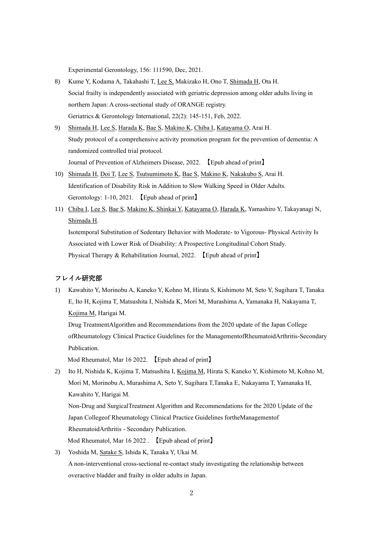Experimental Gerontology, 156: 111590, Dec, 2021.

- 8) Kume Y, Kodama A, Takahashi T, Lee S, Makizako H, Ono T, Shimada H, Ota H. Social frailty is independently associated with geriatric depression among older adults living in northern Japan: A cross-sectional study of ORANGE registry. Geriatrics & Gerontology International, 22(2): 145-151, Feb, 2022.
- 9) Shimada H, Lee S, Harada K, Bae S, Makino K, Chiba I, Katayama O, Arai H. Study protocol of a comprehensive activity promotion program for the prevention of dementia: A randomized controlled trial protocol. Journal of Prevention of Alzheimers Disease, 2022. 【Epub ahead of print】
- 10) Shimada H, Doi T, Lee S, Tsutsumimoto K, Bae S, Makino K, Nakakubo S, Arai H. Identification of Disability Risk in Addition to Slow Walking Speed in Older Adults. Gerontology: 1-10, 2021. 【Epub ahead of print】
- 11) Chiba I, Lee S, Bae S, Makino K, Shinkai Y, Katayama O, Harada K, Yamashiro Y, Takayanagi N, Shimada H. Isotemporal Substitution of Sedentary Behavior with Moderate- to Vigorous- Physical Activity Is Associated with Lower Risk of Disability: A Prospective Longitudinal Cohort Study. Physical Therapy & Rehabilitation Journal, 2022. 【Epub ahead of print】

### フレイル研究部

1) Kawahito Y, Morinobu A, Kaneko Y, Kohno M, Hirata S, Kishimoto M, Seto Y, Sugihara T, Tanaka E, Ito H, Kojima T, Matsushita I, Nishida K, Mori M, Murashima A, Yamanaka H, Nakayama T, Kojima M, Harigai M.

Drug TreatmentAlgorithm and Recommendations from the 2020 update of the Japan College ofRheumatology Clinical Practice Guidelines for the ManagementofRheumatoidArthritis-Secondary Publication.

Mod Rheumatol, Mar 16 2022. 【Epub ahead of print】

- 2) Ito H, Nishida K, Kojima T, Matsushita I, Kojima M, Hirata S, Kaneko Y, Kishimoto M, Kohno M, Mori M, Morinobu A, Murashima A, Seto Y, Sugihara T,Tanaka E, Nakayama T, Yamanaka H, Kawahito Y, Harigai M. Non-Drug and SurgicalTreatment Algorithm and Recommendations for the 2020 Update of the Japan Collegeof Rheumatology Clinical Practice Guidelines fortheManagementof RheumatoidArthritis - Secondary Publication. Mod Rheumatol, Mar 16 2022 . 【Epub ahead of print】
- 3) Yoshida M, Satake S, Ishida K, Tanaka Y, Ukai M. A non-interventional cross-sectional re-contact study investigating the relationship between overactive bladder and frailty in older adults in Japan.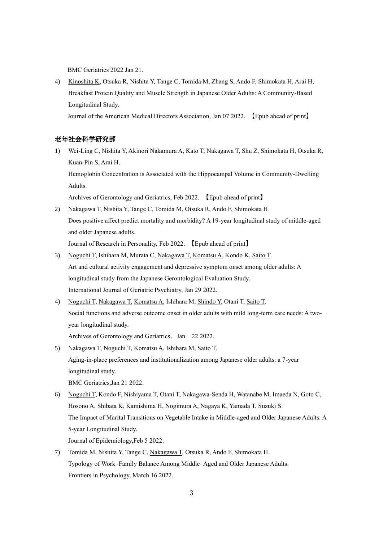BMC Geriatrics 2022 Jan 21.

4) Kinoshita K, Otsuka R, Nishita Y, Tange C, Tomida M, Zhang S, Ando F, Shimokata H, Arai H. Breakfast Protein Quality and Muscle Strength in Japanese Older Adults: A Community-Based Longitudinal Study.

Journal of the American Medical Directors Association, Jan 07 2022. 【Epub ahead of print】

#### 老年社会科学研究部

1) Wei-Ling C, Nishita Y, Akinori Nakamura A, Kato T, Nakagawa T, Shu Z, Shimokata H, Otsuka R, Kuan-Pin S, Arai H.

Hemoglobin Concentration is Associated with the Hippocampal Volume in Community-Dwelling Adults.

Archives of Gerontology and Geriatrics, Feb 2022. 【Epub ahead of print】

- 2) Nakagawa T, Nishita Y, Tange C, Tomida M, Otsuka R, Ando F, Shimokata H. Does positive affect predict mortality and morbidity? A 19-year longitudinal study of middle-aged and older Japanese adults. Journal of Research in Personality, Feb 2022. 【Epub ahead of print】
- 3) Noguchi T, Ishihara M, Murata C, Nakagawa T, Komatsu A, Kondo K, Saito T. Art and cultural activity engagement and depressive symptom onset among older adults: A longitudinal study from the Japanese Gerontological Evaluation Study. International Journal of Geriatric Psychiatry, Jan 29 2022.
- 4) Noguchi T, Nakagawa T, Komatsu A, Ishihara M, Shindo Y, Otani T, Saito T. Social functions and adverse outcome onset in older adults with mild long-term care needs: A twoyear longitudinal study.

Archives of Gerontology and Geriatrics, Jan 22 2022.

- 5) Nakagawa T, Noguchi T, Komatsu A, Ishihara M, Saito T. Aging-in-place preferences and institutionalization among Japanese older adults: a 7-year longitudinal study. BMC Geriatrics,Jan 21 2022.
- 6) Noguchi T, Kondo F, Nishiyama T, Otani T, Nakagawa-Senda H, Watanabe M, Imaeda N, Goto C, Hosono A, Shibata K, Kamishima H, Nogimura A, Nagaya K, Yamada T, Suzuki S. The Impact of Marital Transitions on Vegetable Intake in Middle-aged and Older Japanese Adults: A 5-year Longitudinal Study. Journal of Epidemiology,Feb 5 2022.
- 7) Tomida M, Nishita Y, Tange C, Nakagawa T, Otsuka R, Ando F, Shimokata H. Typology of Work–Family Balance Among Middle–Aged and Older Japanese Adults. Frontiers in Psychology, March 16 2022.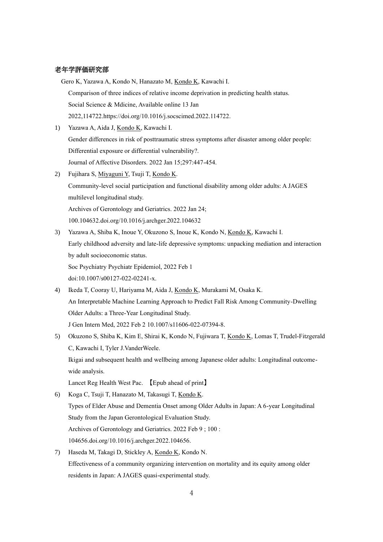## 老年学評価研究部

Gero K, Yazawa A, Kondo N, Hanazato M, Kondo K, Kawachi I. Comparison of three indices of relative income deprivation in predicting health status. Social Science & Mdicine, Available online 13 Jan 2022,114722.https://doi.org/10.1016/j.socscimed.2022.114722.

- 1) Yazawa A, Aida J, Kondo K, Kawachi I. Gender differences in risk of posttraumatic stress symptoms after disaster among older people: Differential exposure or differential vulnerability?. Journal of Affective Disorders. 2022 Jan 15;297:447-454.
- 2) Fujihara S, Miyaguni Y, Tsuji T, Kondo K. Community-level social participation and functional disability among older adults: A JAGES multilevel longitudinal study. Archives of Gerontology and Geriatrics. 2022 Jan 24; 100.104632.doi.org/10.1016/j.archger.2022.104632
- 3) Yazawa A, Shiba K, Inoue Y, Okuzono S, Inoue K, Kondo N, Kondo K, Kawachi I. Early childhood adversity and late-life depressive symptoms: unpacking mediation and interaction by adult socioeconomic status. Soc Psychiatry Psychiatr Epidemiol, 2022 Feb 1

doi:10.1007/s00127-022-02241-x.

- 4) Ikeda T, Cooray U, Hariyama M, Aida J, Kondo K, Murakami M, Osaka K. An Interpretable Machine Learning Approach to Predict Fall Risk Among Community-Dwelling Older Adults: a Three-Year Longitudinal Study. J Gen Intern Med, 2022 Feb 2 10.1007/s11606-022-07394-8.
- 5) Okuzono S, Shiba K, Kim E, Shirai K, Kondo N, Fujiwara T, Kondo K, Lomas T, Trudel-Fitzgerald C, Kawachi I, Tyler J.VanderWeele. Ikigai and subsequent health and wellbeing among Japanese older adults: Longitudinal outcomewide analysis.

Lancet Reg Health West Pac. 【Epub ahead of print】

- 6) Koga C, Tsuji T, Hanazato M, Takasugi T, Kondo K. Types of Elder Abuse and Dementia Onset among Older Adults in Japan: A 6-year Longitudinal Study from the Japan Gerontological Evaluation Study. Archives of Gerontology and Geriatrics. 2022 Feb 9 ; 100 : 104656.doi.org/10.1016/j.archger.2022.104656.
- 7) Haseda M, Takagi D, Stickley A, Kondo K, Kondo N. Effectiveness of a community organizing intervention on mortality and its equity among older residents in Japan: A JAGES quasi-experimental study.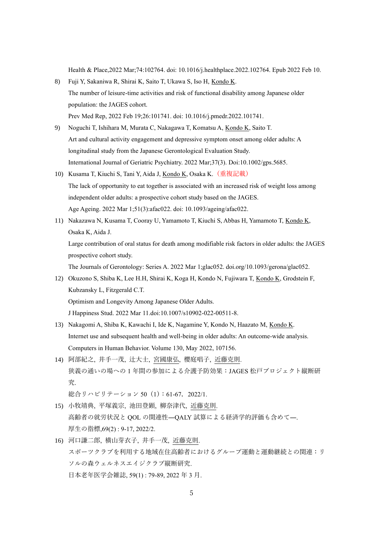Health & Place,2022 Mar;74:102764. doi: 10.1016/j.healthplace.2022.102764. Epub 2022 Feb 10.

- 8) Fuji Y, Sakaniwa R, Shirai K, Saito T, Ukawa S, Iso H, Kondo K. The number of leisure-time activities and risk of functional disability among Japanese older population: the JAGES cohort. Prev Med Rep, 2022 Feb 19;26:101741. doi: 10.1016/j.pmedr.2022.101741.
- 9) Noguchi T, Ishihara M, Murata C, Nakagawa T, Komatsu A, Kondo K, Saito T. Art and cultural activity engagement and depressive symptom onset among older adults: A longitudinal study from the Japanese Gerontological Evaluation Study. International Journal of Geriatric Psychiatry. 2022 Mar;37(3). Doi:10.1002/gps.5685.
- 10) Kusama T, Kiuchi S, Tani Y, Aida J, Kondo K, Osaka K.(重複記載) The lack of opportunity to eat together is associated with an increased risk of weight loss among independent older adults: a prospective cohort study based on the JAGES. Age Ageing. 2022 Mar 1;51(3):afac022. doi: 10.1093/ageing/afac022.
- 11) Nakazawa N, Kusama T, Cooray U, Yamamoto T, Kiuchi S, Abbas H, Yamamoto T, Kondo K, Osaka K, Aida J.

Large contribution of oral status for death among modifiable risk factors in older adults: the JAGES prospective cohort study.

The Journals of Gerontology: Series A. 2022 Mar 1;glac052. doi.org/10.1093/gerona/glac052.

12) Okuzono S, Shiba K, Lee H.H, Shirai K, Koga H, Kondo N, Fujiwara T, Kondo K, Grodstein F, Kubzansky L, Fitzgerald C.T.

Optimism and Longevity Among Japanese Older Adults.

J Happiness Stud. 2022 Mar 11.doi:10.1007/s10902-022-00511-8.

- 13) Nakagomi A, Shiba K, Kawachi I, Ide K, Nagamine Y, Kondo N, Haazato M, Kondo K. Internet use and subsequent health and well-being in older adults: An outcome-wide analysis. Computers in Human Behavior. Volume 130, May 2022, 107156.
- 14) 阿部紀之, 井手一茂, 辻大士, 宮國康弘, 櫻庭唱子, 近藤克則. 狭義の通いの場への 1 年間の参加による介護予防効果:JAGES 松戸プロジェクト縦断研 究.

総合リハビリテーション 50(1):61-67,2022/1.

- 15) 小牧靖典, 平塚義宗, 池田登顕, 柳奈津代, 近藤克則. 高齢者の就労状況と QOL の関連性―QALY 試算による経済学的評価も含めて―. 厚生の指標,69(2) : 9-17, 2022/2.
- 16) 河口謙二郎, 横山芽衣子, 井手一茂, 近藤克則. スポーツクラブを利用する地域在住高齢者におけるグループ運動と運動継続との関連:リ ソルの森ウェルネスエイジクラブ縦断研究. 日本老年医学会雑誌, 59(1) : 79-89, 2022 年 3 月.